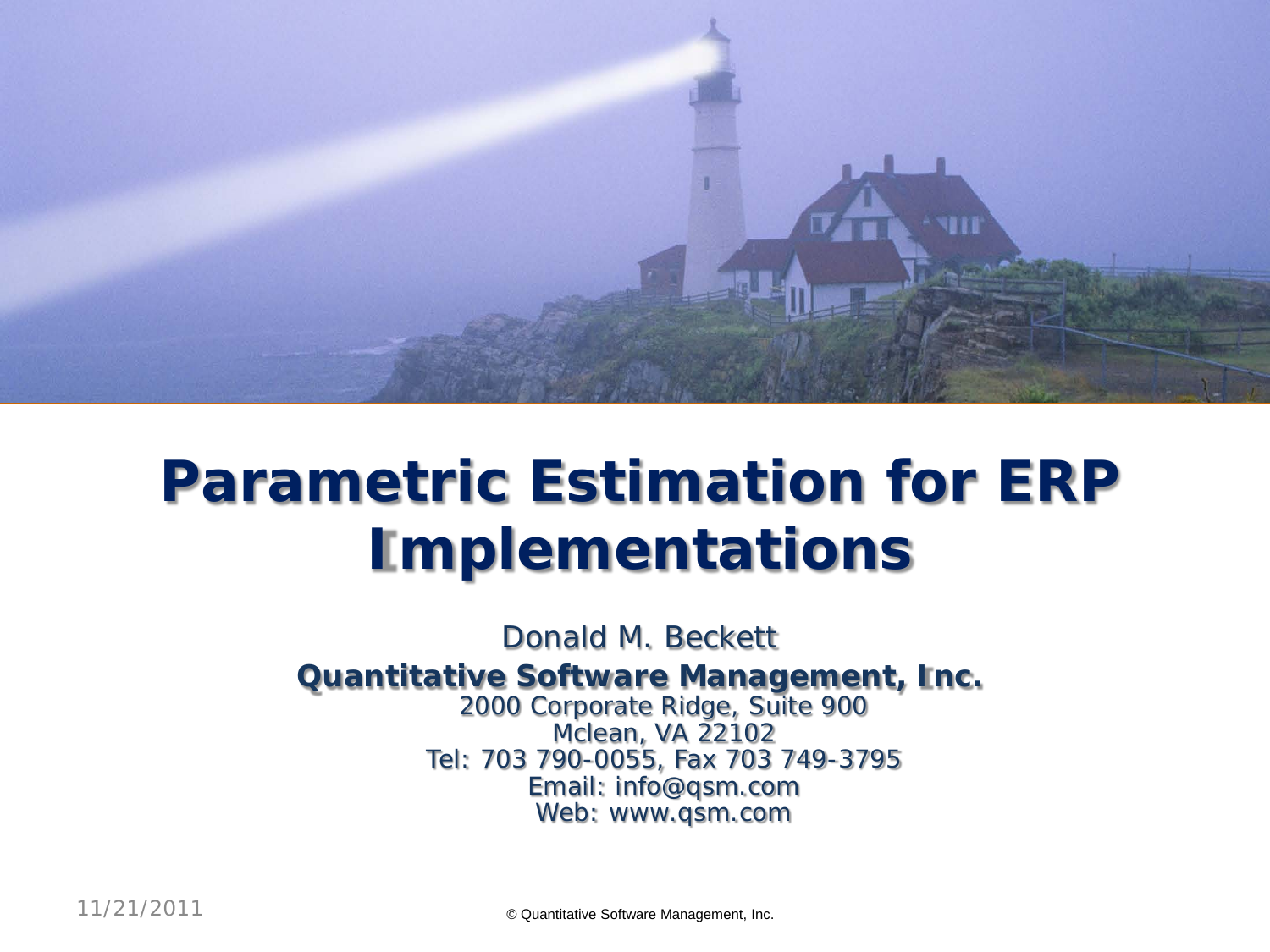

# **Parametric Estimation for ERP Implementations**

Donald M. Beckett

#### **Quantitative Software Management, Inc.**

2000 Corporate Ridge, Suite 900 Mclean, VA 22102 Tel: 703 790-0055, Fax 703 749-3795 Email: info@qsm.com Web: www.qsm.com

11/21/2011 © Quantitative Software Management, Inc.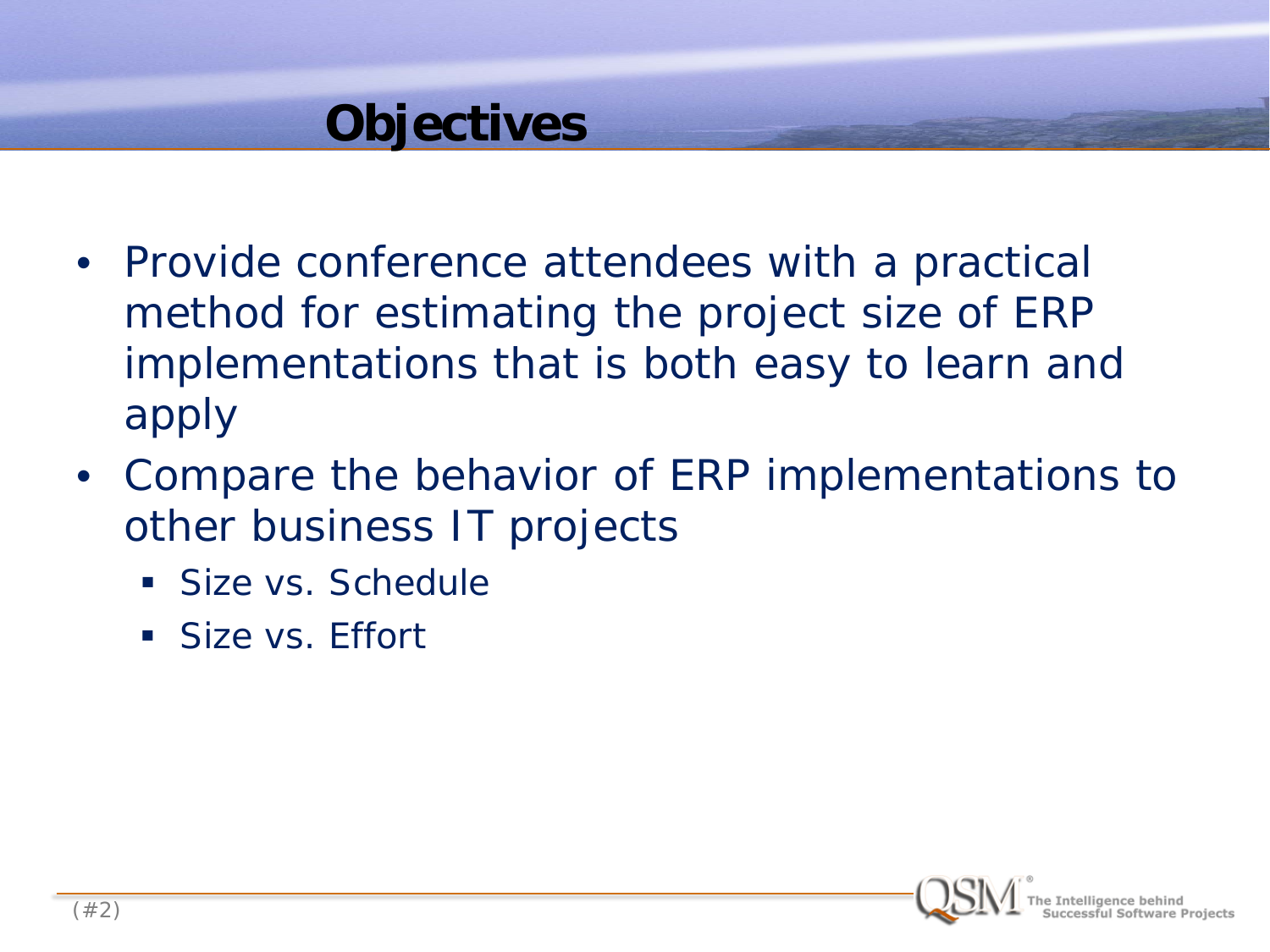#### **Objectives**

- Provide conference attendees with a practical method for estimating the project size of ERP implementations that is both easy to learn and apply
- Compare the behavior of ERP implementations to other business IT projects
	- Size vs. Schedule
	- **Size vs. Effort**

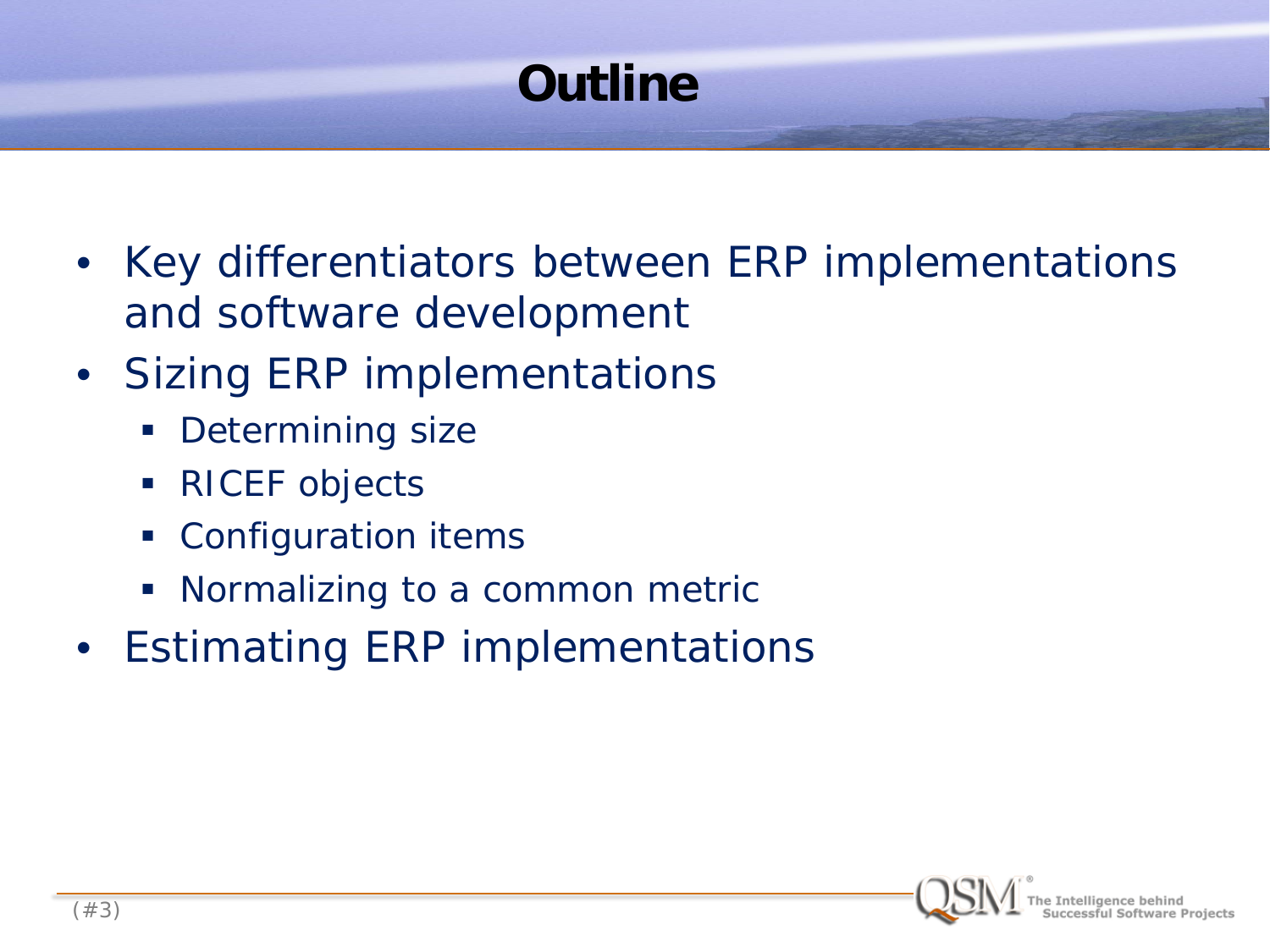## **Outline**

- Key differentiators between ERP implementations and software development
- Sizing ERP implementations
	- **Determining size**
	- **RICEF** objects
	- **Configuration items**
	- Normalizing to a common metric
- Estimating ERP implementations

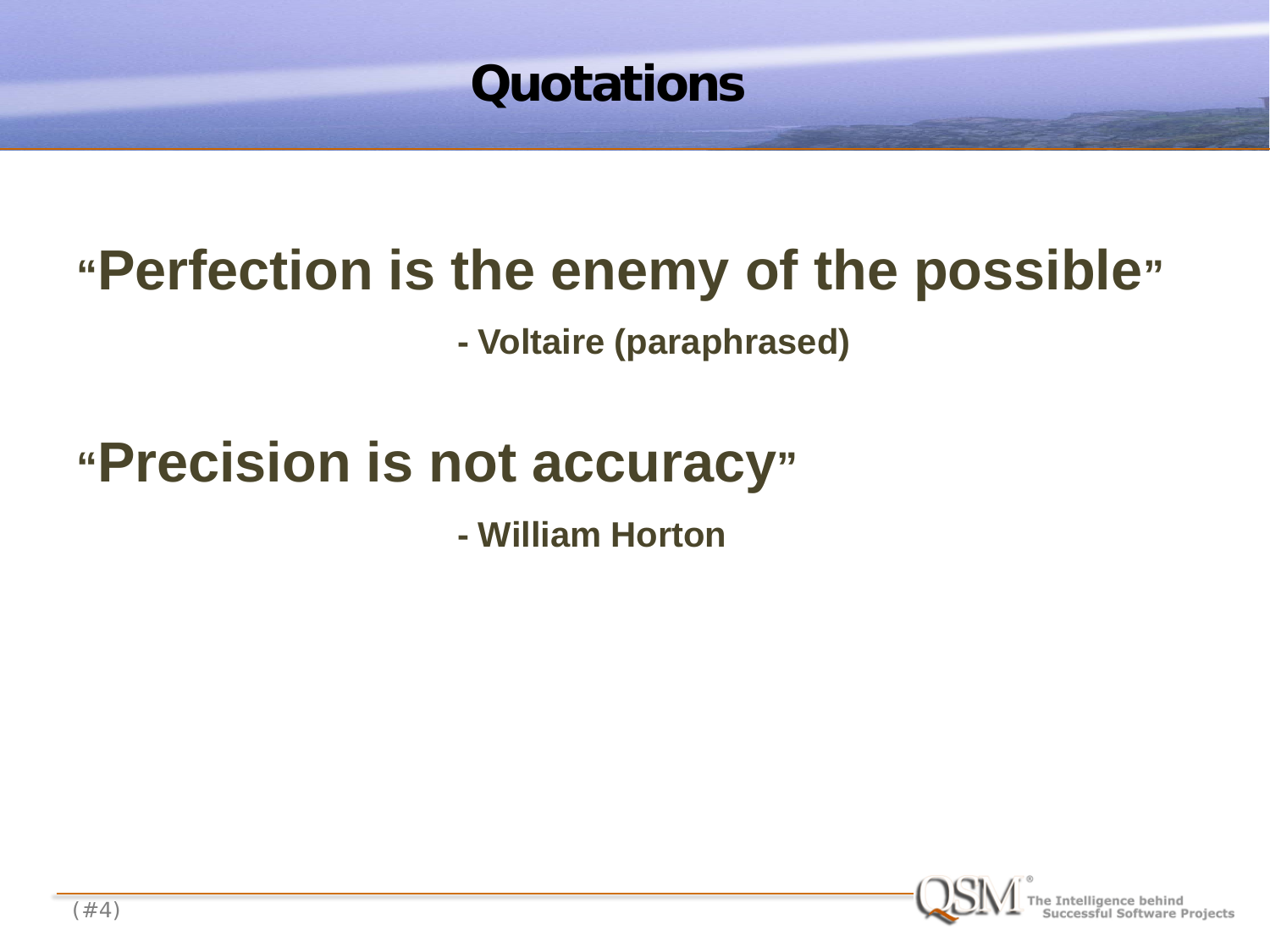

# **"Perfection is the enemy of the possible"**

**- Voltaire (paraphrased)**

# **"Precision is not accuracy"**

**- William Horton**

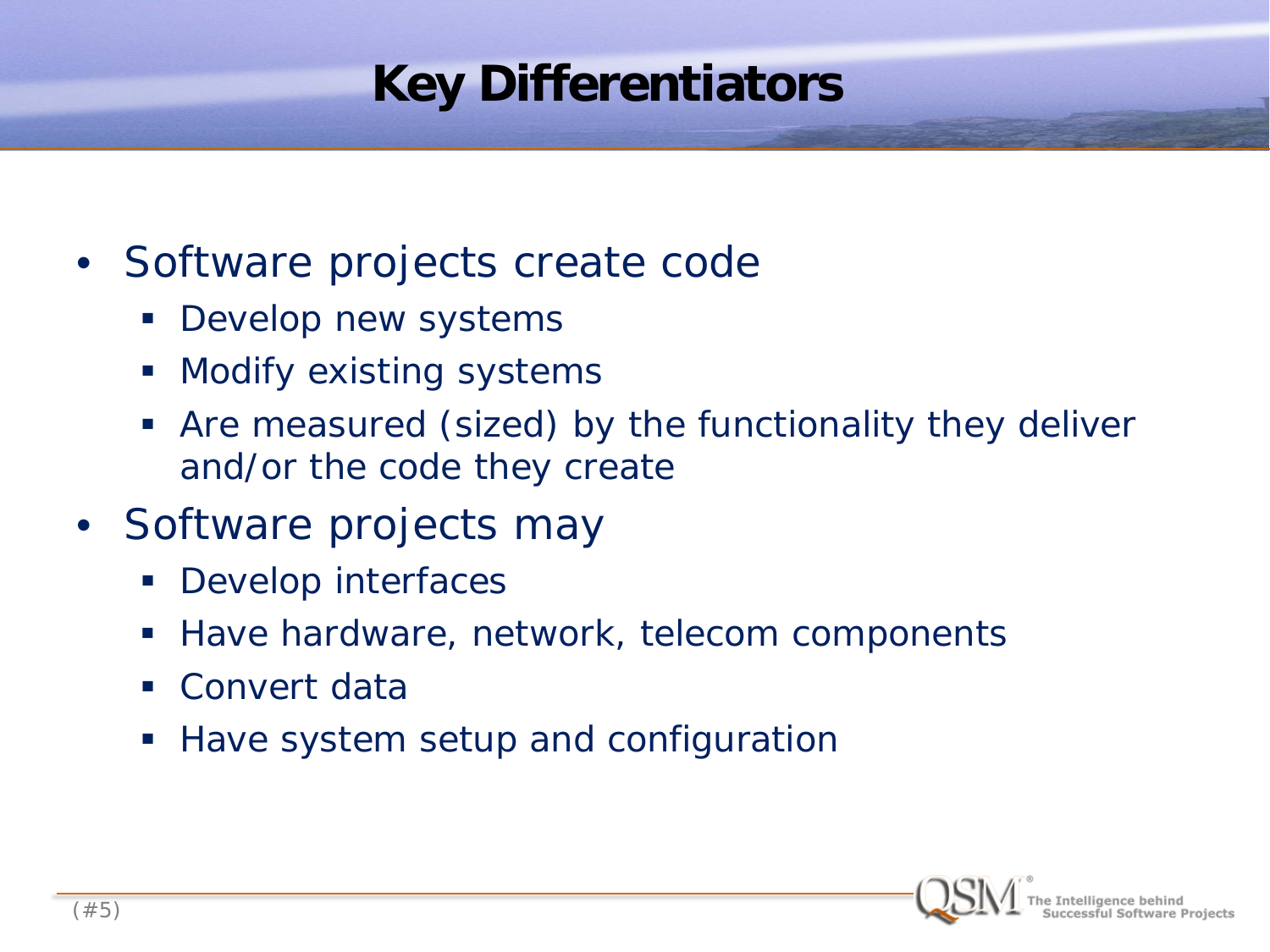## **Key Differentiators**

- Software projects create code
	- **Develop new systems**
	- **Modify existing systems**
	- Are measured (sized) by the functionality they deliver and/or the code they create
- Software projects *may*
	- **Develop interfaces**
	- Have hardware, network, telecom components
	- Convert data
	- Have system setup and configuration

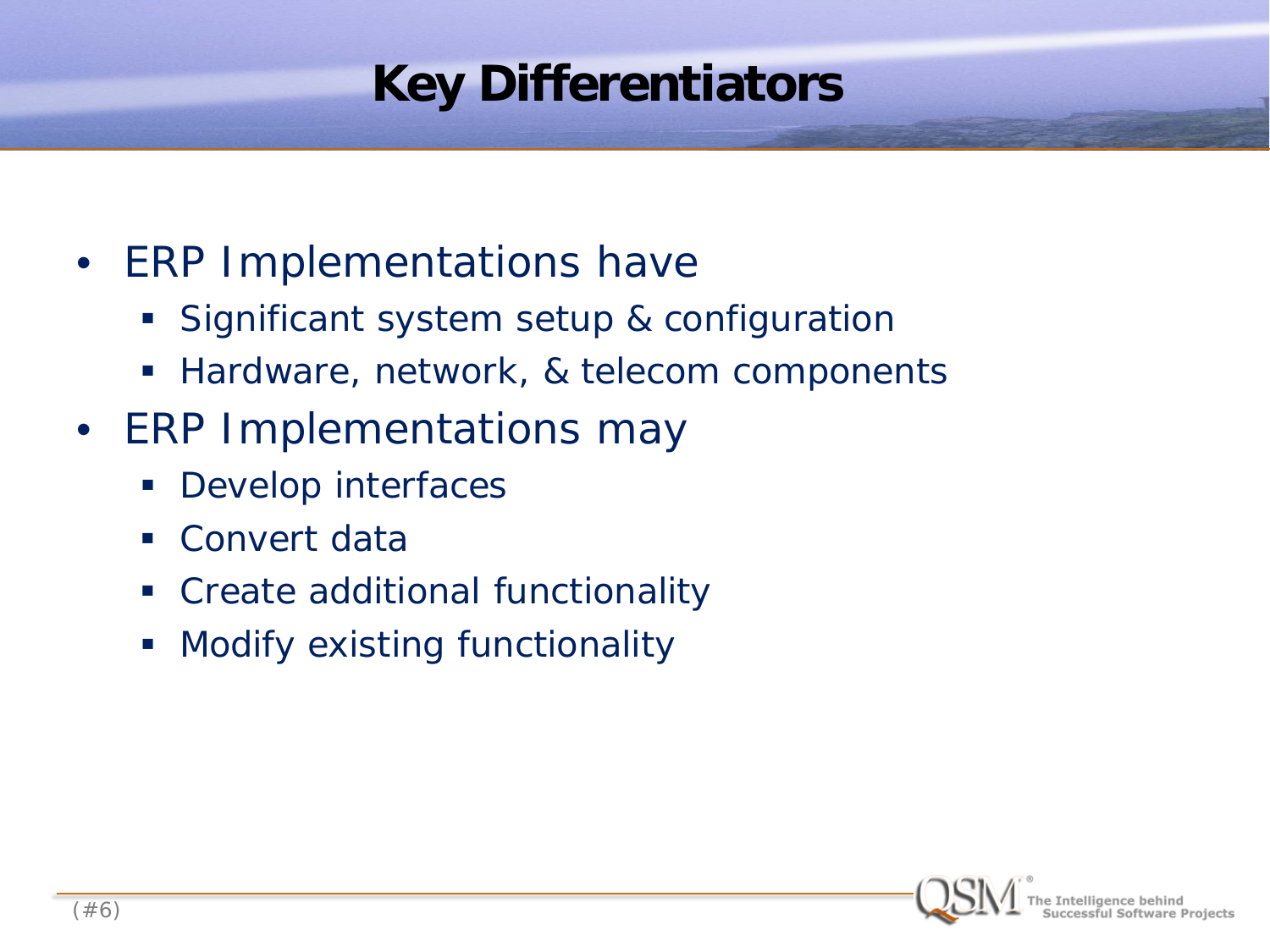## **Key Differentiators**

- ERP Implementations *have*
	- **Significant system setup & configuration**
	- **Hardware, network, & telecom components**
- ERP Implementations *may*
	- **Develop interfaces**
	- **Convert data**
	- Create additional functionality
	- **Modify existing functionality**

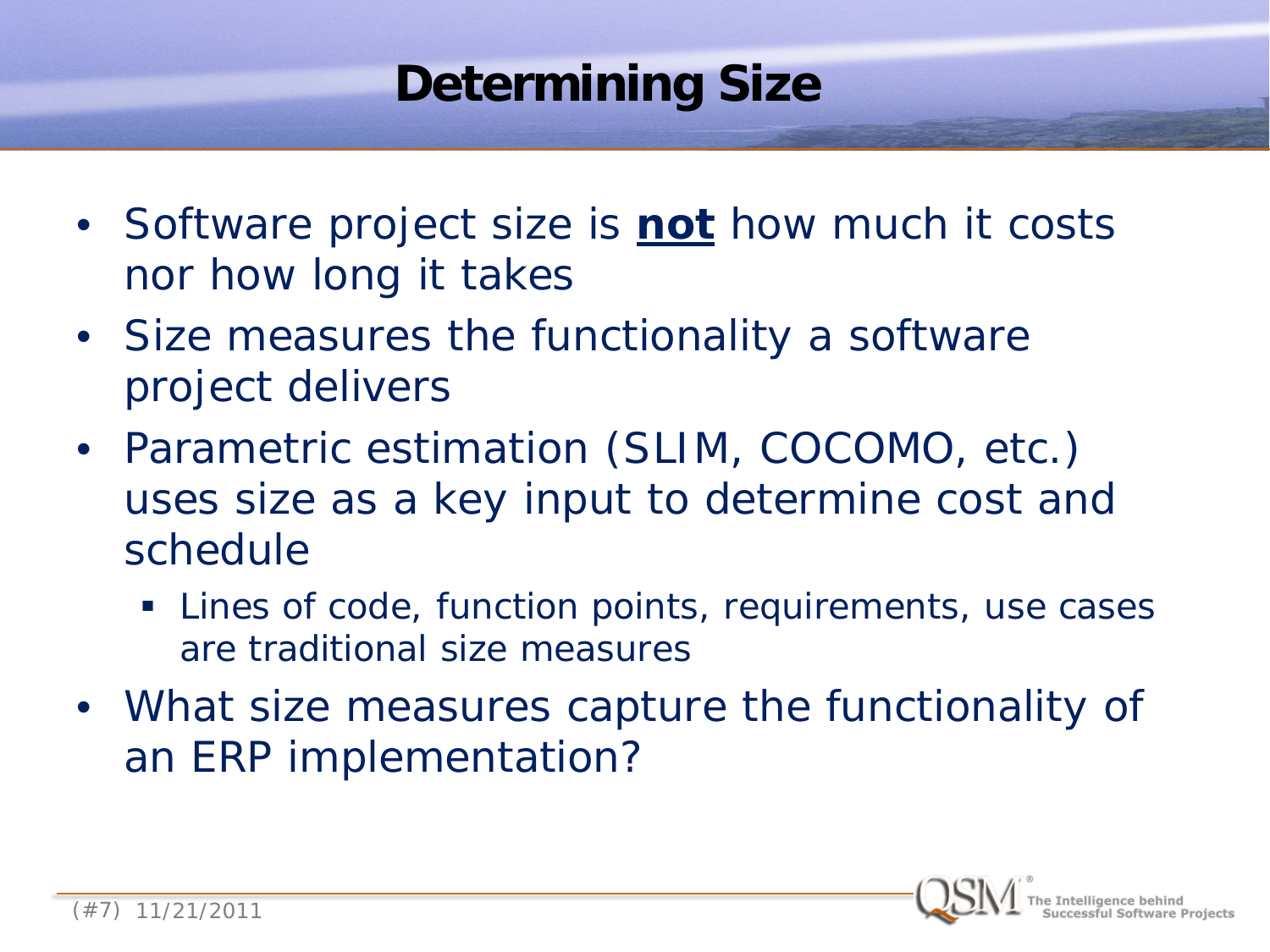### **Determining Size**

- Software project size is **not** how much it costs nor how long it takes
- Size measures the functionality a software project delivers
- Parametric estimation (SLIM, COCOMO, etc.) uses size as a key input to determine cost and schedule
	- **EXTERFI** Lines of code, function points, requirements, use cases are traditional size measures
- What size measures capture the functionality of an ERP implementation?

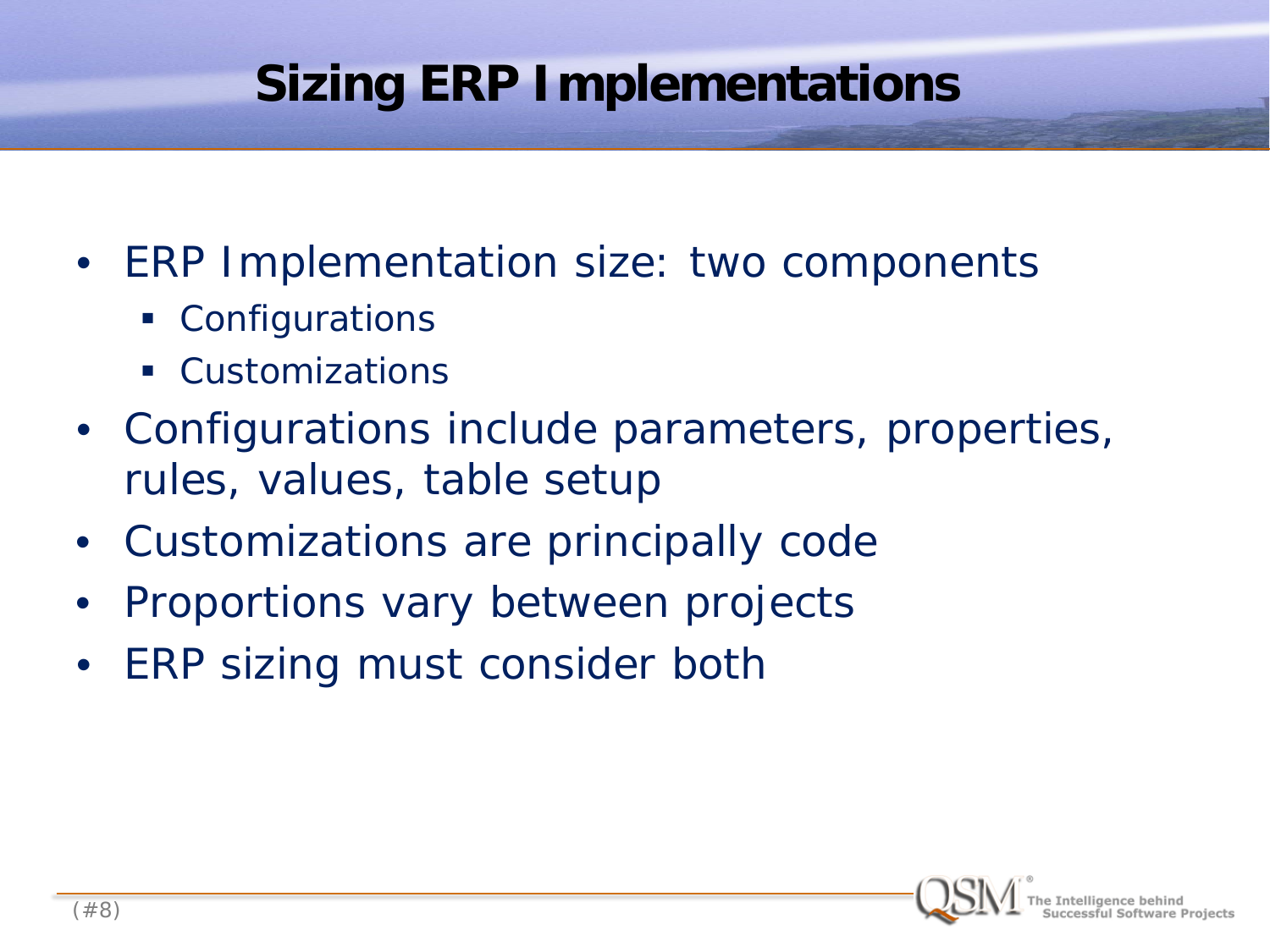### **Sizing ERP Implementations**

- ERP Implementation size: two components
	- Configurations
	- Customizations
- Configurations include parameters, properties, rules, values, table setup
- Customizations are principally code
- Proportions vary between projects
- ERP sizing must consider both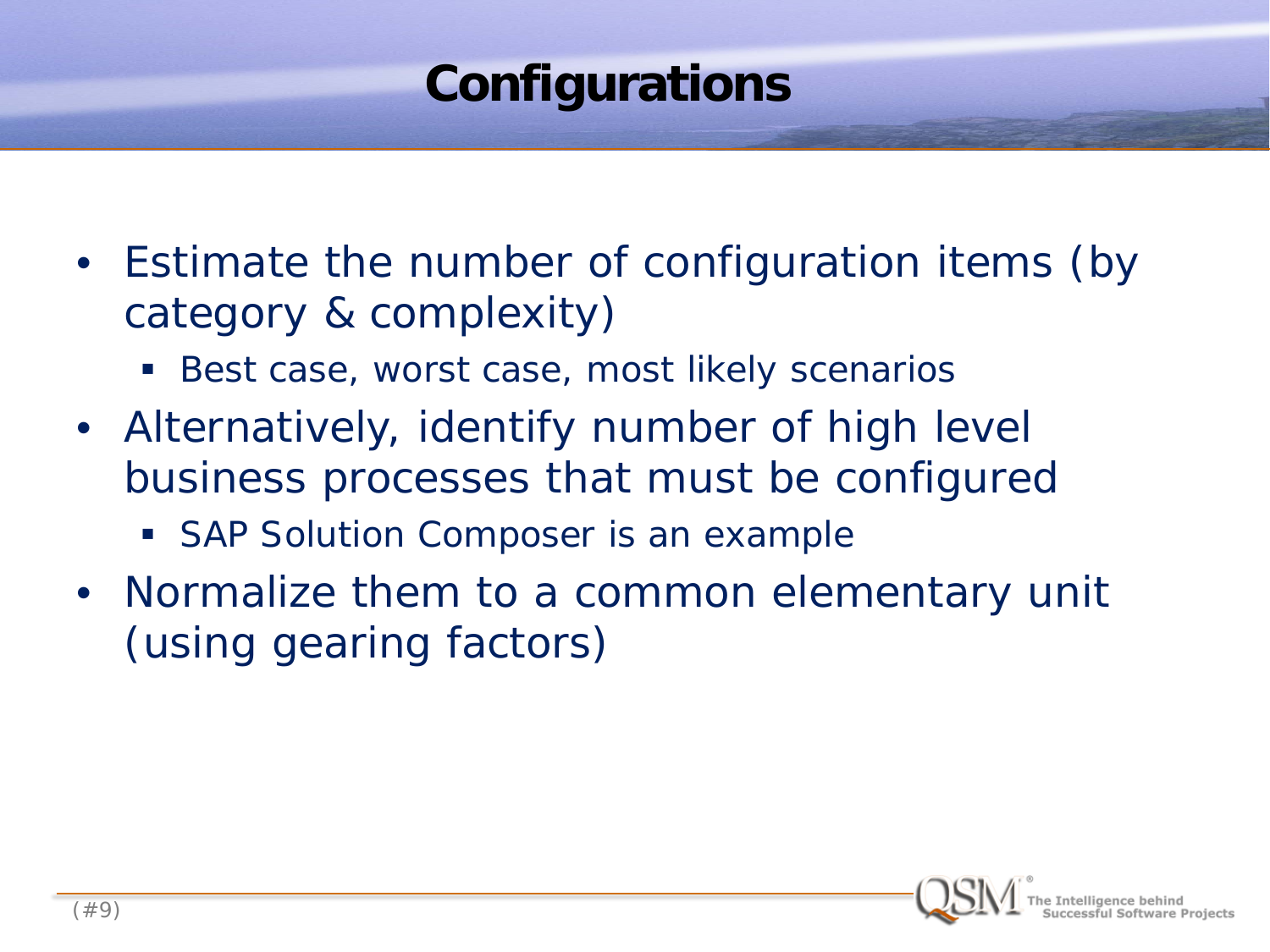### **Configurations**

- Estimate the number of configuration items (by category & complexity)
	- Best case, worst case, most likely scenarios
- Alternatively, identify number of high level business processes that must be configured
	- **SAP Solution Composer is an example**
- Normalize them to a common elementary unit (using gearing factors)

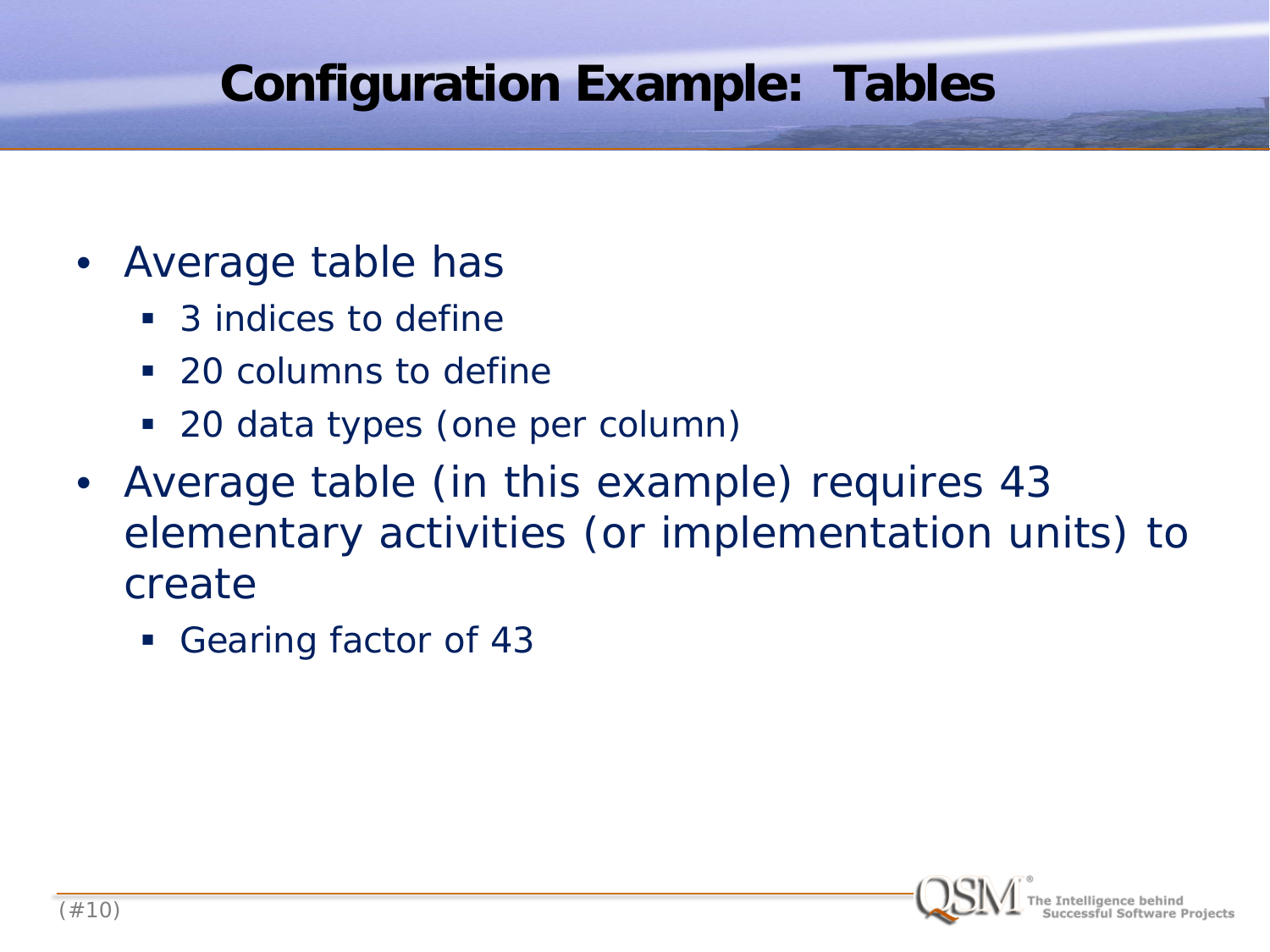### **Configuration Example: Tables**

- Average table has
	- 3 indices to define
	- 20 columns to define
	- 20 data types (one per column)
- Average table (in this example) requires 43 elementary activities (or implementation units) to create
	- Gearing factor of 43

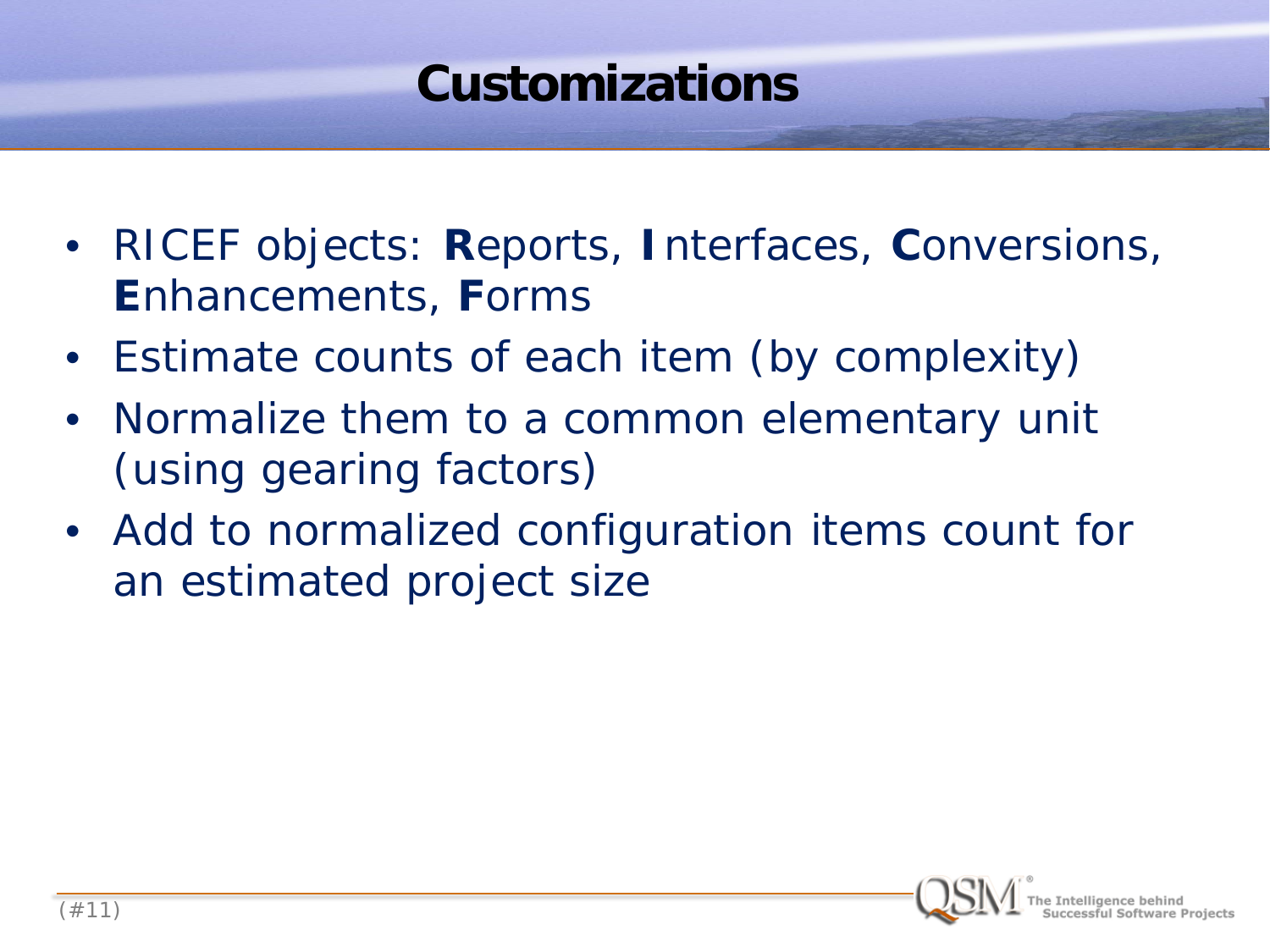### **Customizations**

- RICEF objects: **R**eports, **I**nterfaces, **C**onversions, **E**nhancements, **F**orms
- Estimate counts of each item (by complexity)
- Normalize them to a common elementary unit (using gearing factors)
- Add to normalized configuration items count for an estimated project size

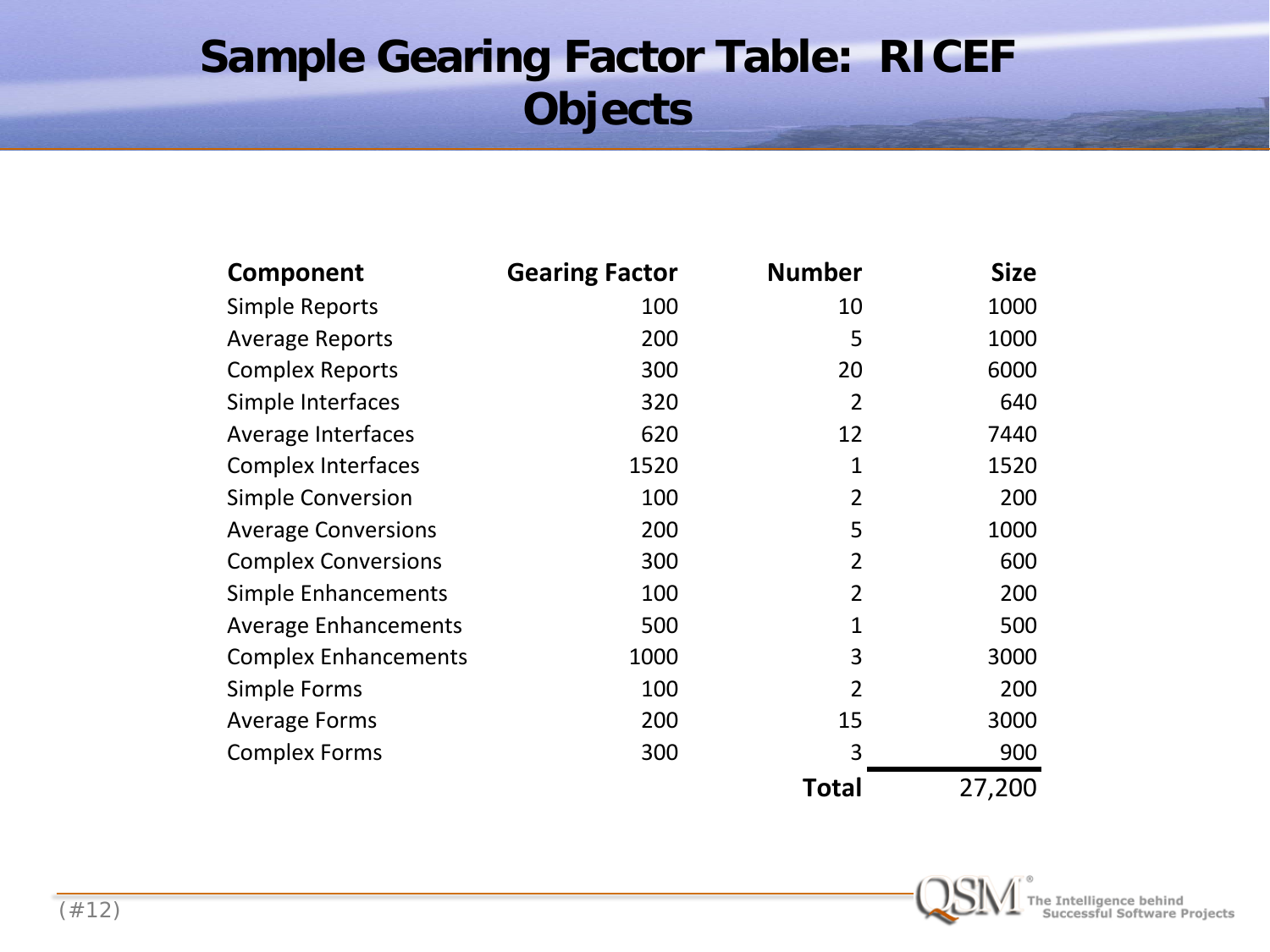#### **Sample Gearing Factor Table: RICEF Objects**

| Component                   | <b>Gearing Factor</b> | <b>Number</b>  | <b>Size</b> |
|-----------------------------|-----------------------|----------------|-------------|
| Simple Reports              | 100                   | 10             | 1000        |
| <b>Average Reports</b>      | 200                   | 5              | 1000        |
| <b>Complex Reports</b>      | 300                   | 20             | 6000        |
| Simple Interfaces           | 320                   | $\overline{2}$ | 640         |
| Average Interfaces          | 620                   | 12             | 7440        |
| <b>Complex Interfaces</b>   | 1520                  | 1              | 1520        |
| <b>Simple Conversion</b>    | 100                   | $\overline{2}$ | 200         |
| <b>Average Conversions</b>  | 200                   | 5              | 1000        |
| <b>Complex Conversions</b>  | 300                   | 2              | 600         |
| Simple Enhancements         | 100                   | $\overline{2}$ | 200         |
| <b>Average Enhancements</b> | 500                   | 1              | 500         |
| <b>Complex Enhancements</b> | 1000                  | 3              | 3000        |
| Simple Forms                | 100                   | $\overline{2}$ | 200         |
| <b>Average Forms</b>        | 200                   | 15             | 3000        |
| <b>Complex Forms</b>        | 300                   | 3              | 900         |
|                             |                       | <b>Total</b>   | 27,200      |

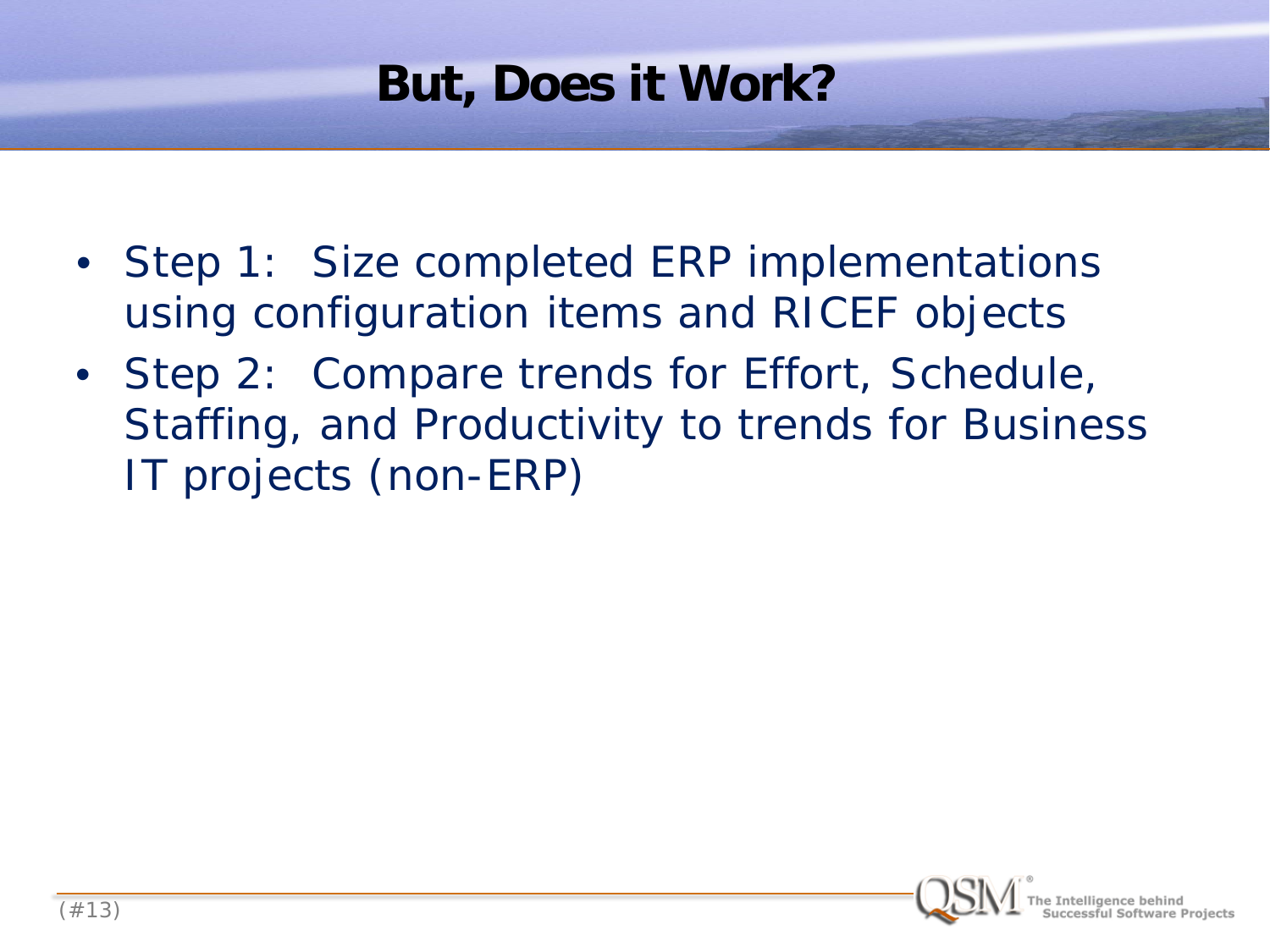### **But, Does it Work?**

- Step 1: Size completed ERP implementations using configuration items and RICEF objects
- Step 2: Compare trends for Effort, Schedule, Staffing, and Productivity to trends for Business IT projects (non-ERP)

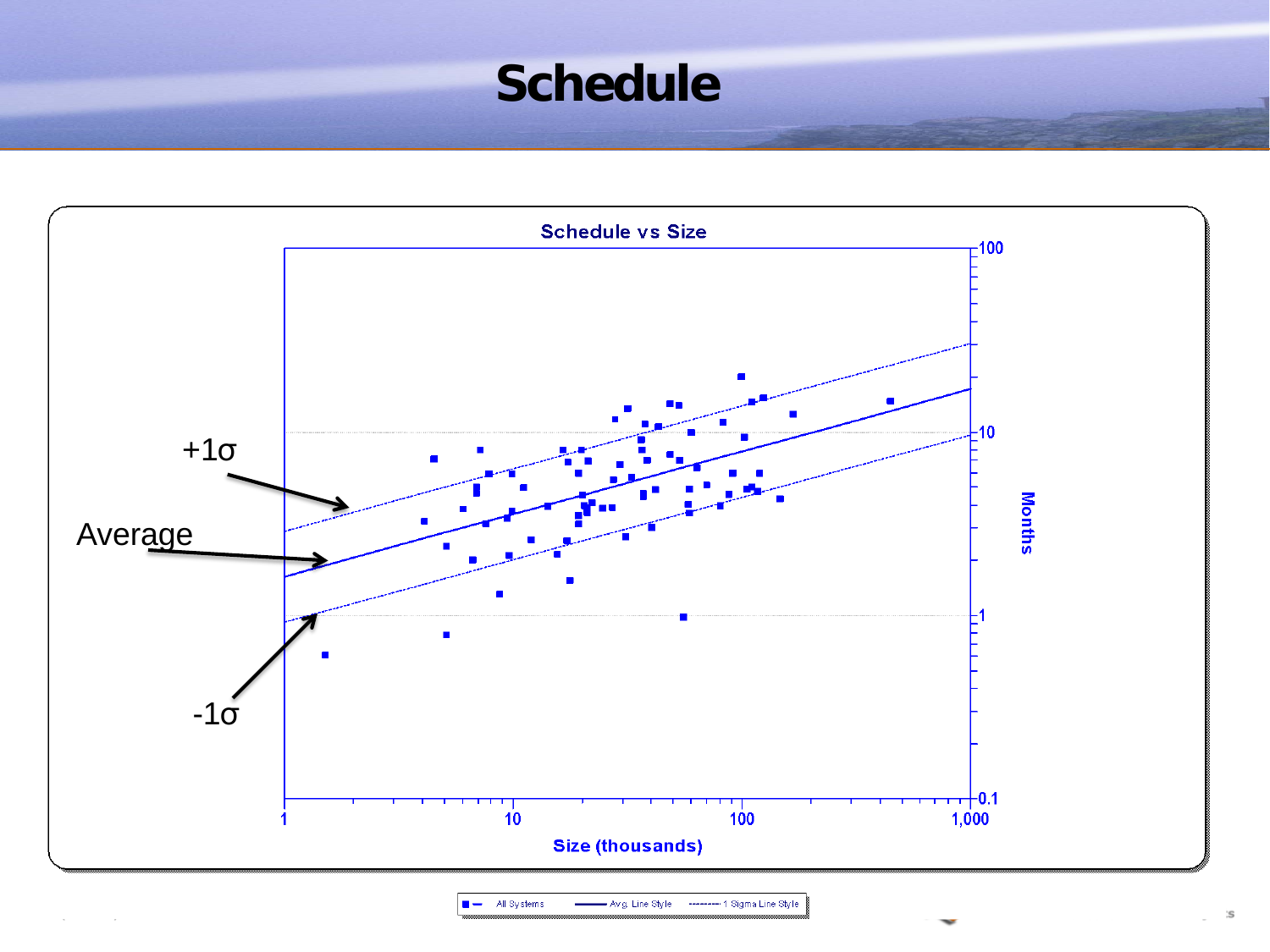### **Schedule**



 $\blacksquare$  - All Systems - Avig. Line Style - --------- 1 Sigma Line Style

`S

 $\mathcal{L}$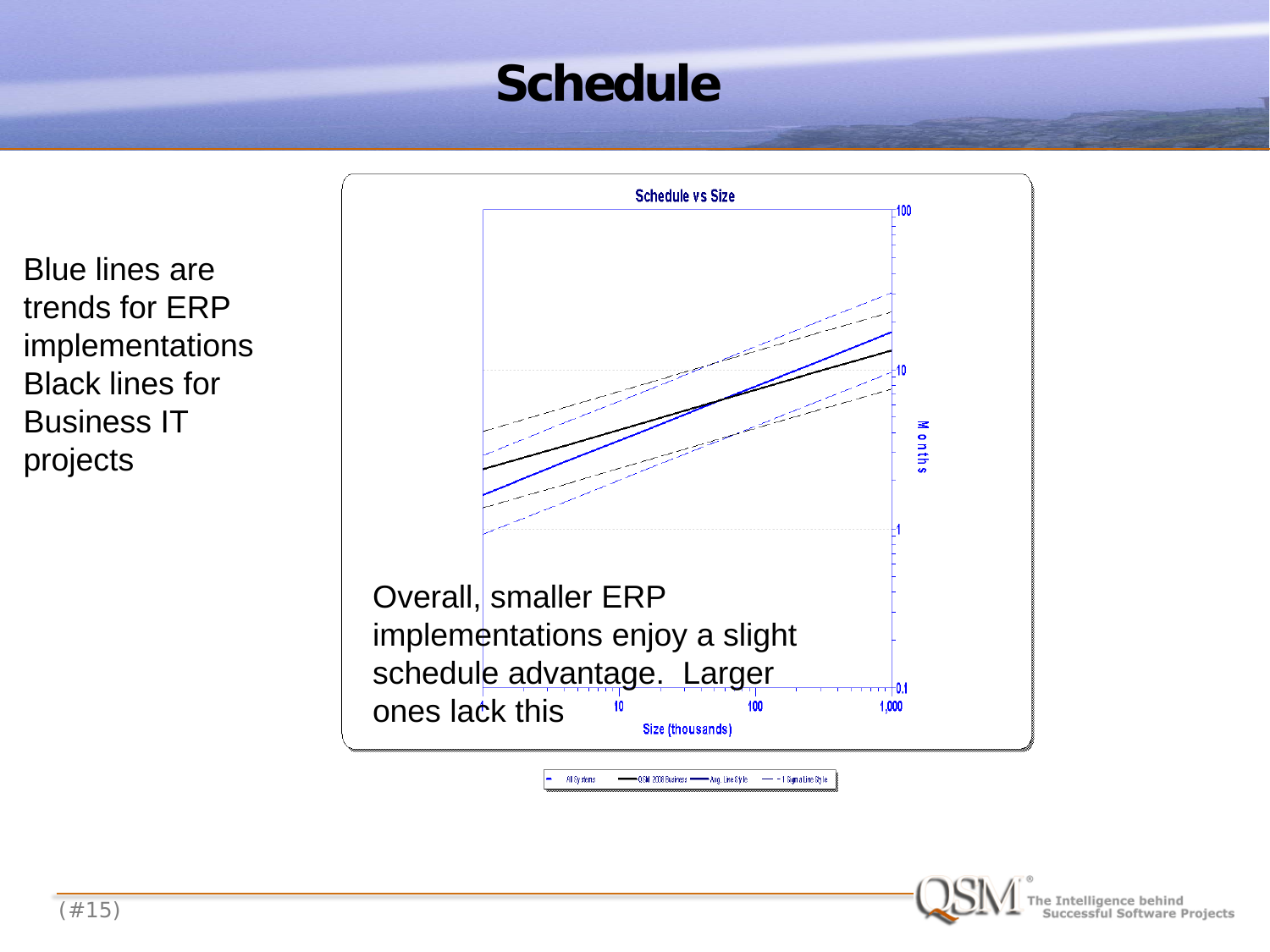### **Schedule**

Blue lines are trends for ERP implementations Black lines for Business IT projects



All Sy stems QSM 2008 Business - Ang. Line Style  $- - 1$  Sign a Line Sty I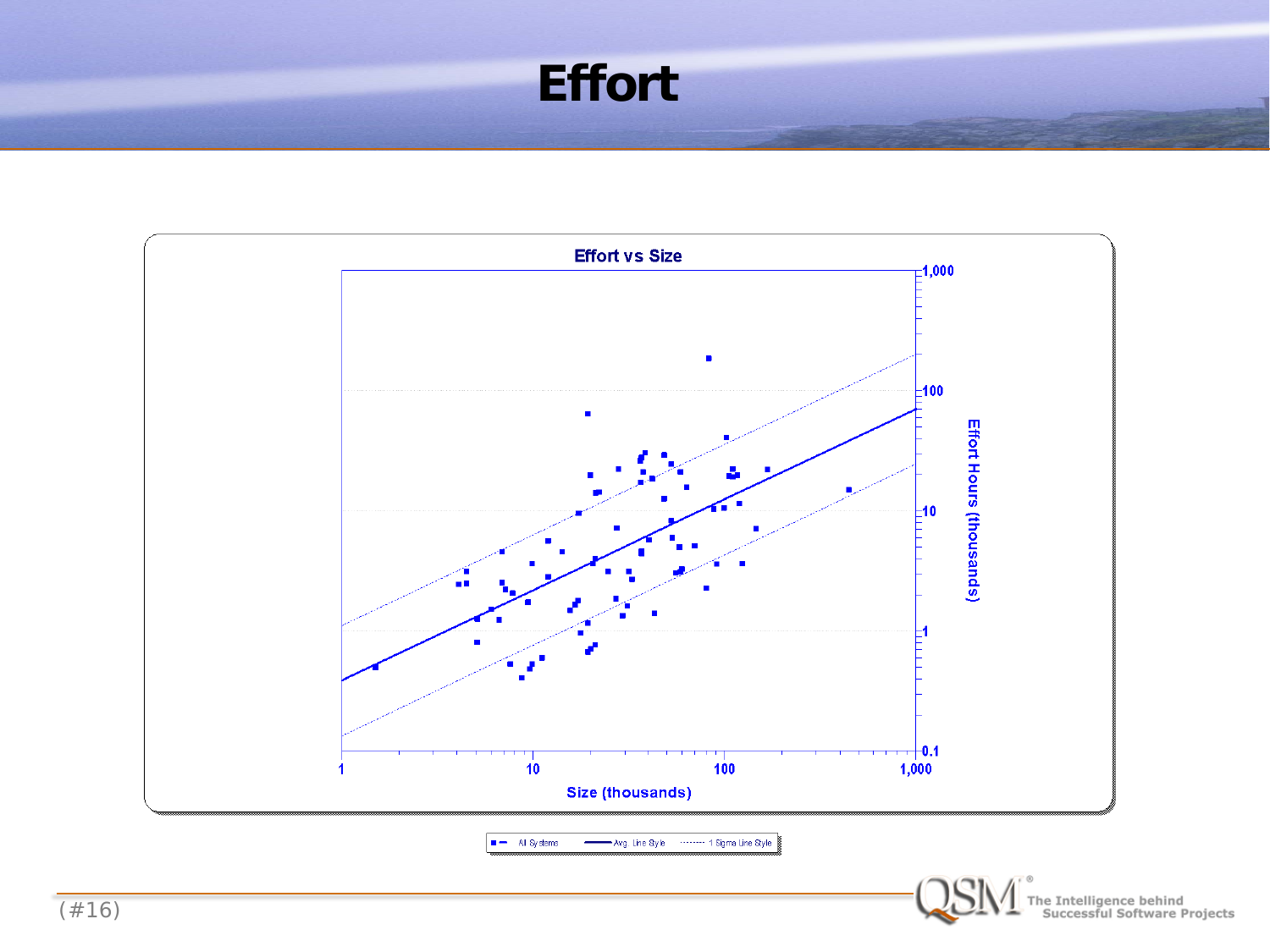#### **Effort**

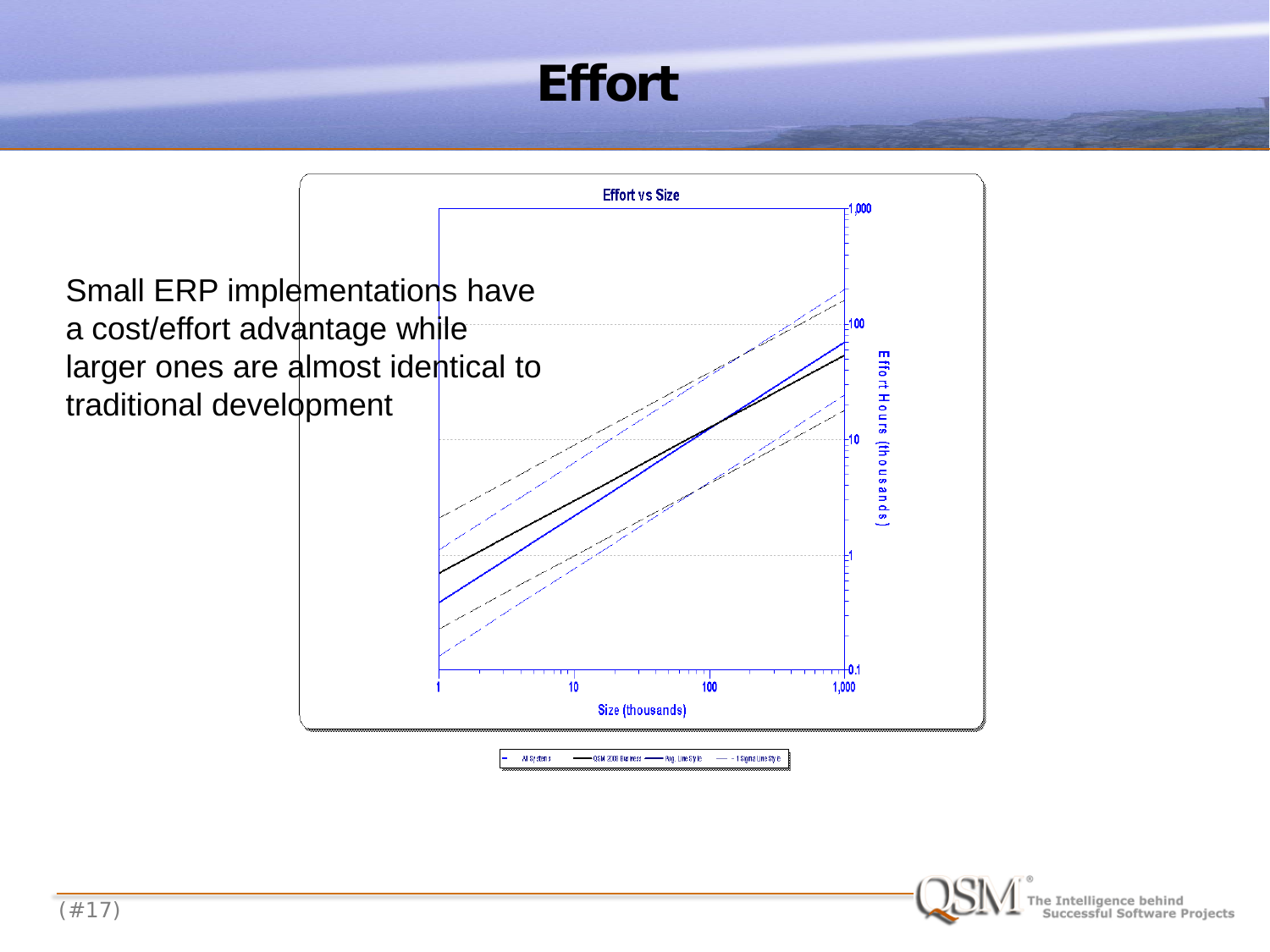### **Effort**



e Intelligence behind<br>Successful Software Projects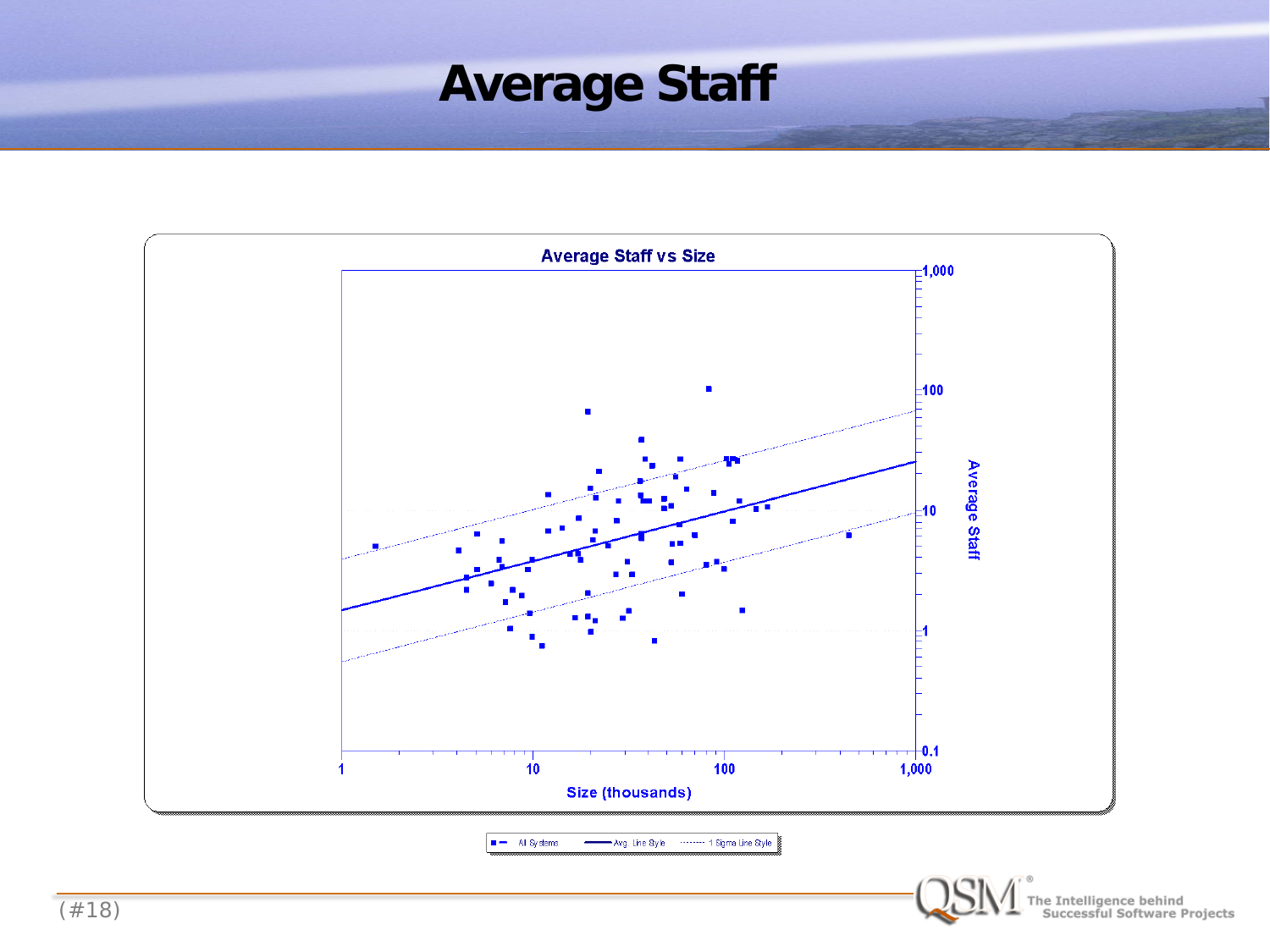### **Average Staff**

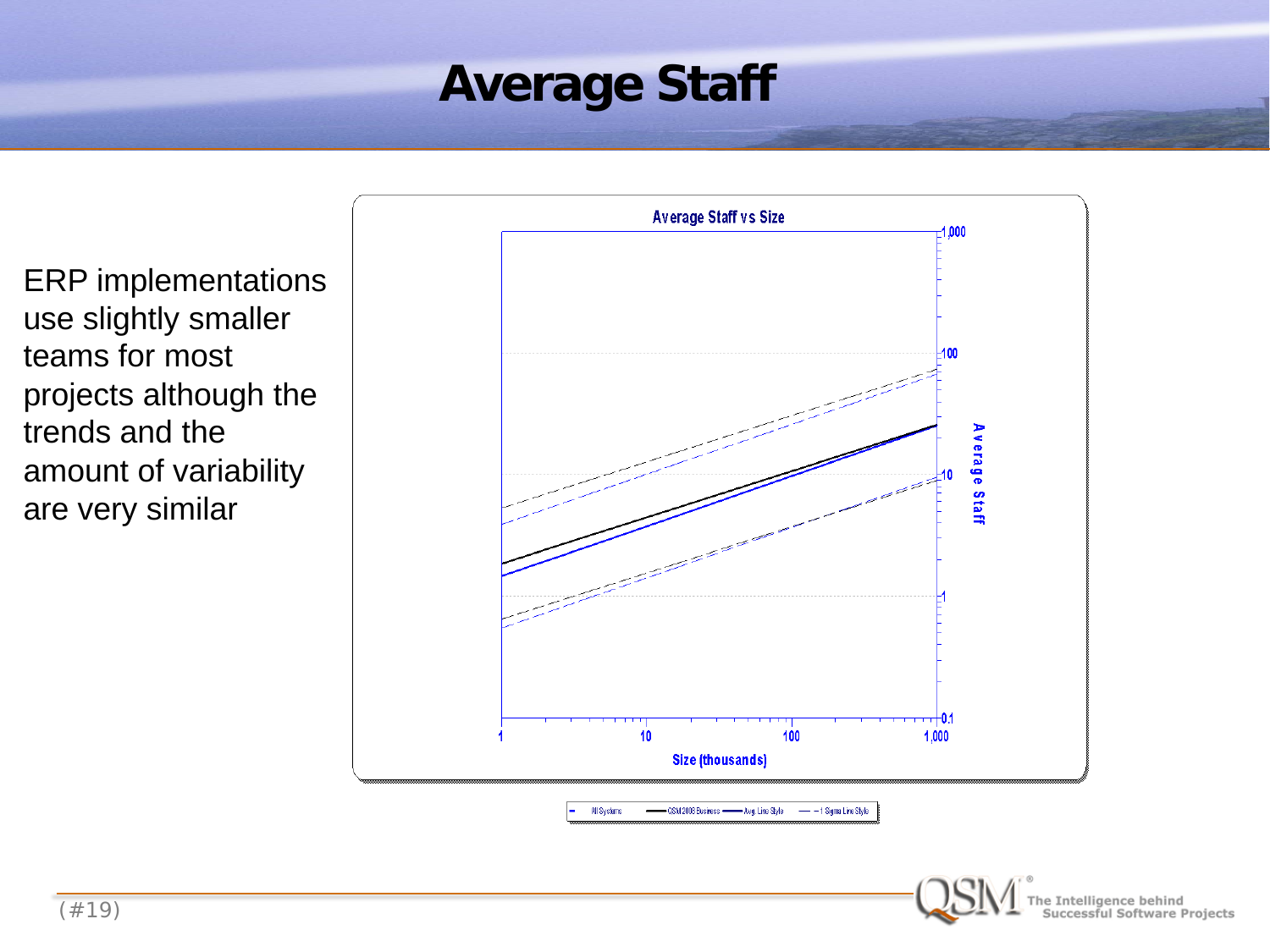## **Average Staff**

ERP implementations use slightly smaller teams for most projects although the trends and the amount of variability are very similar



All Systems QSM 2008 Business - Avg. Line Style - - 1 Sigma Line Style

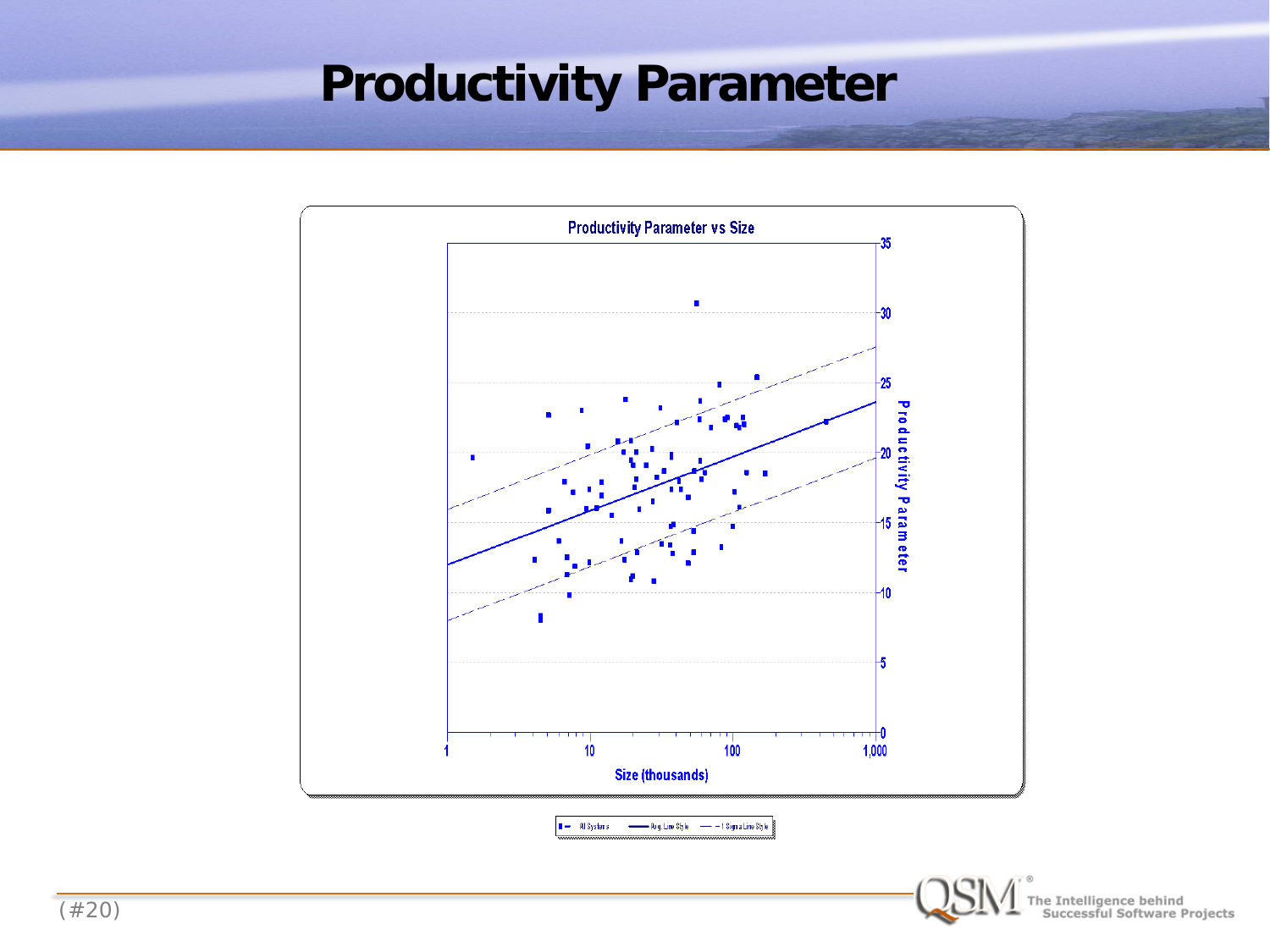### **Productivity Parameter**



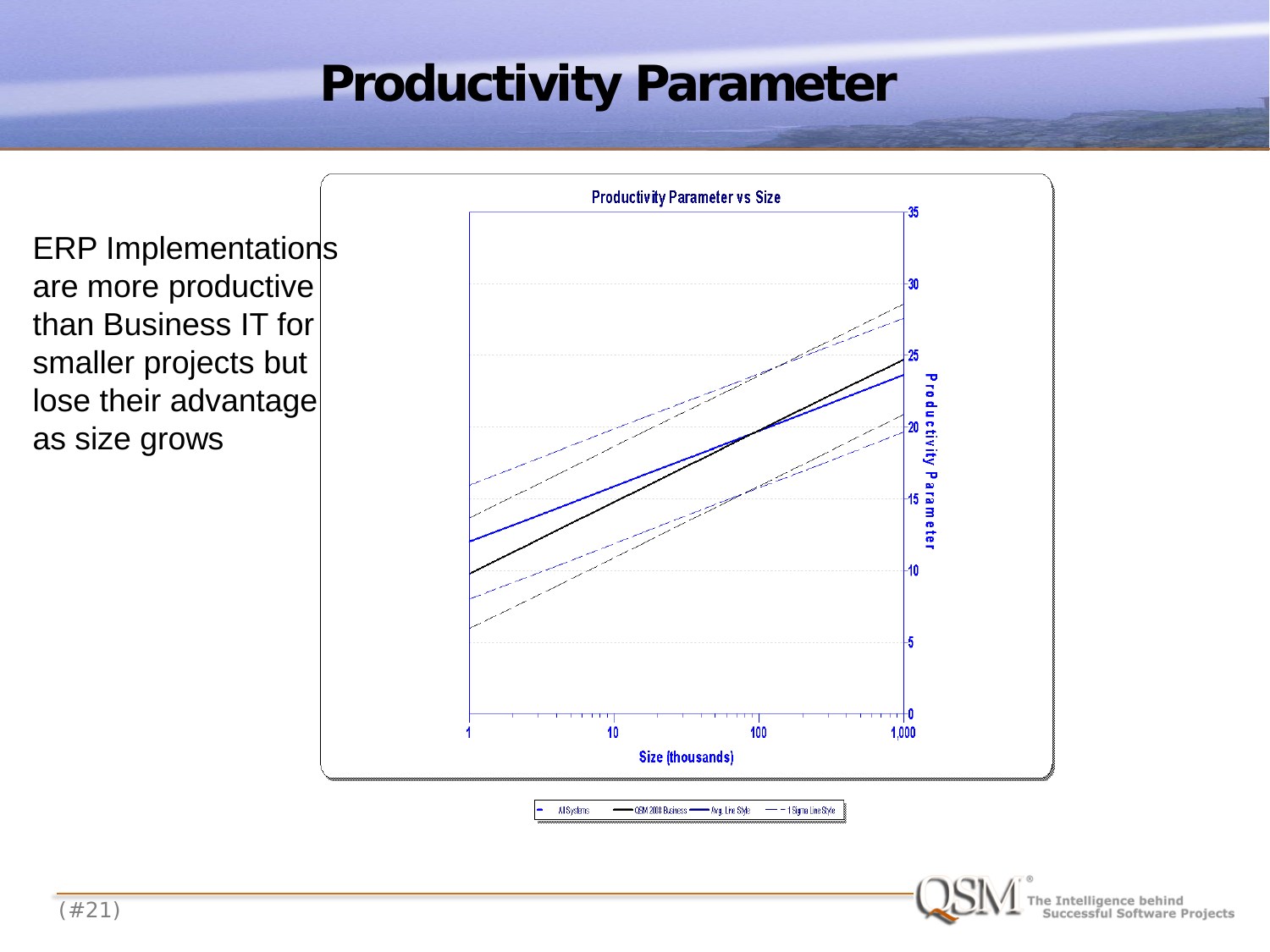## **Productivity Parameter**

ERP Implementations are more productive than Business IT for smaller projects but lose their advantage as size grows



All Systems CGM 2008 Business - Avg. Line Style  $- - 1$  Sigma Line Style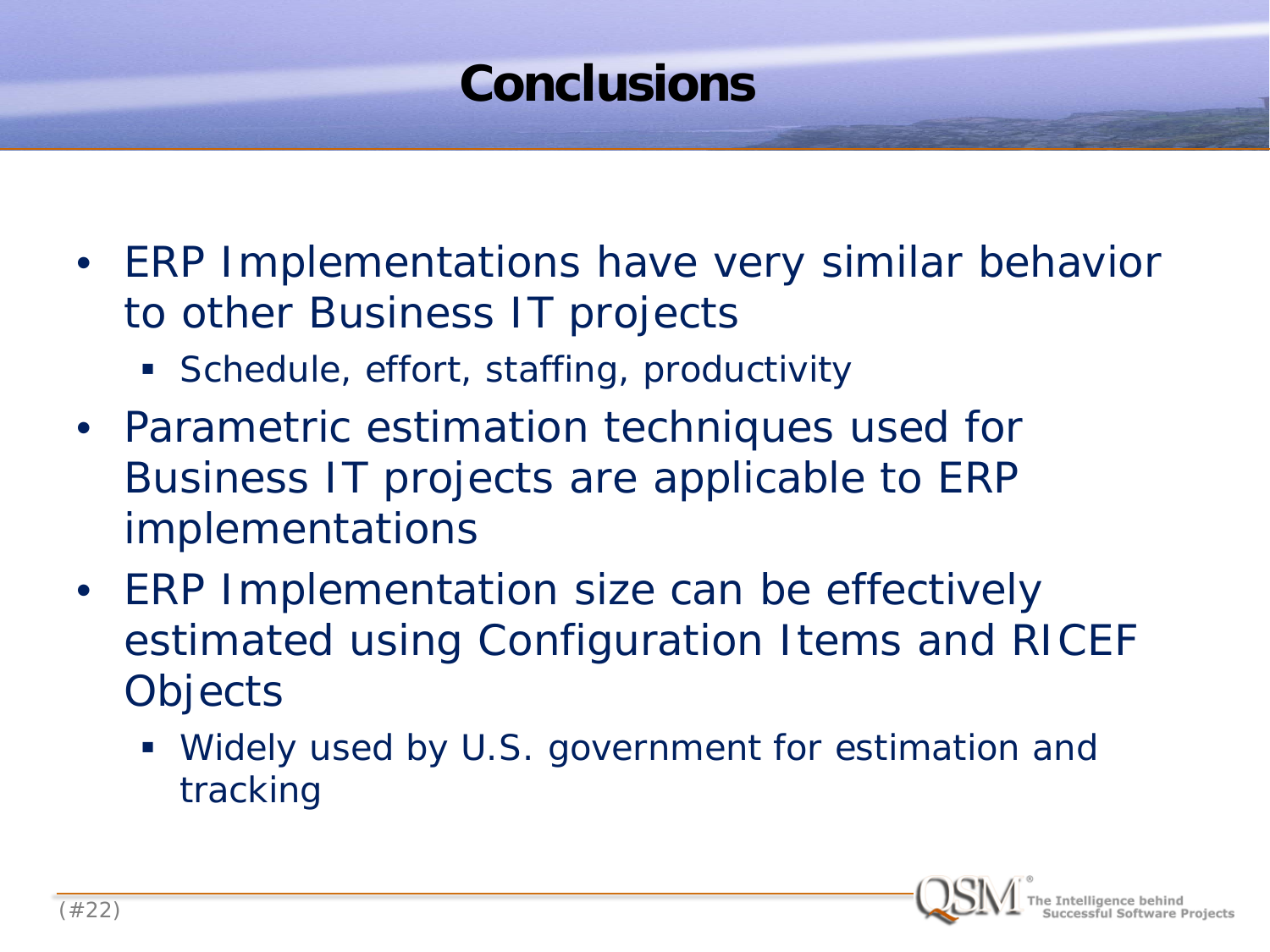### **Conclusions**

- ERP Implementations have very similar behavior to other Business IT projects
	- Schedule, effort, staffing, productivity
- Parametric estimation techniques used for Business IT projects are applicable to ERP implementations
- ERP Implementation size can be effectively estimated using Configuration Items and RICEF **Objects** 
	- Widely used by U.S. government for estimation and tracking

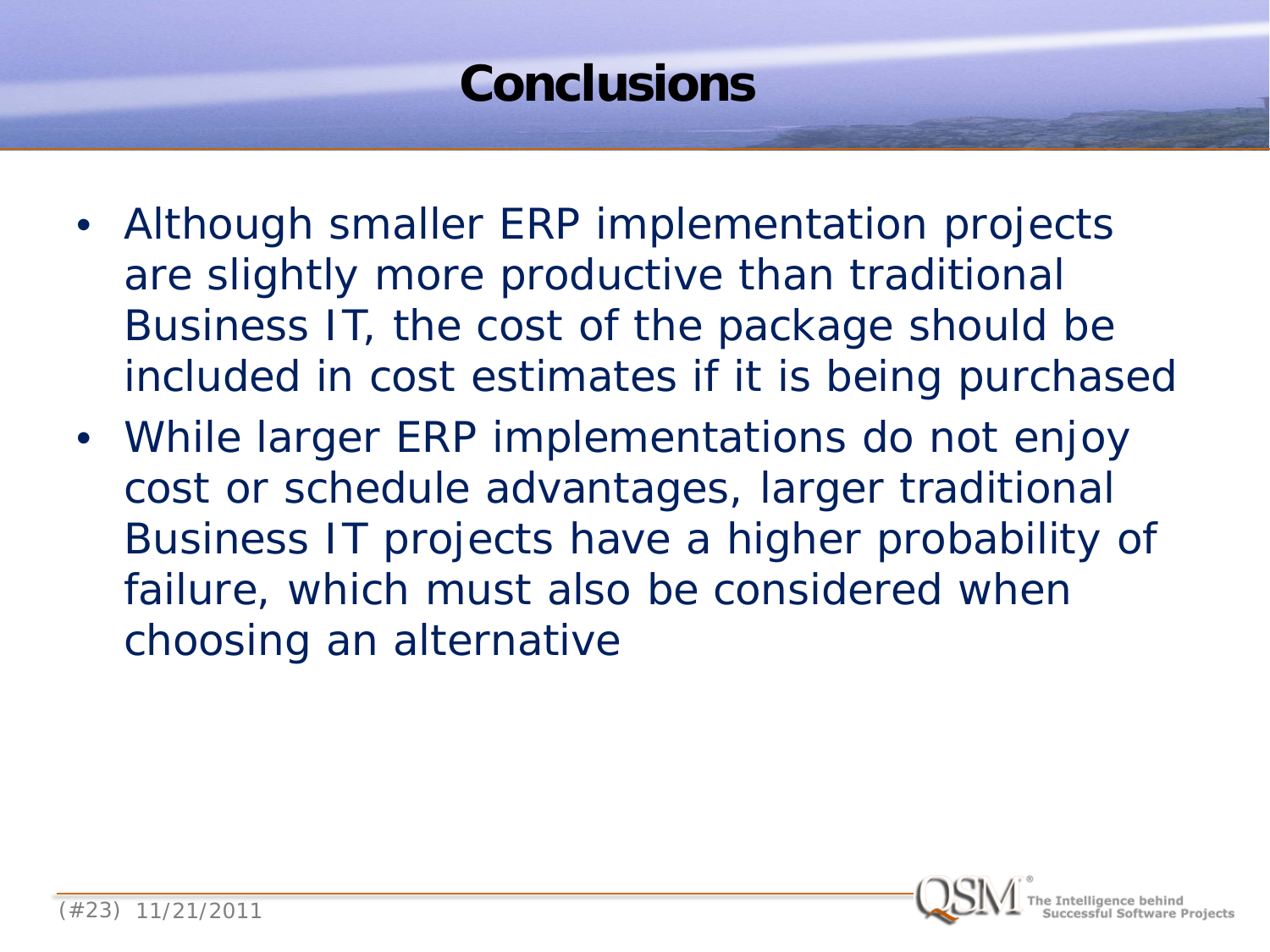## **Conclusions**

- Although smaller ERP implementation projects are slightly more productive than traditional Business IT, the cost of the package should be included in cost estimates if it is being purchased
- While larger ERP implementations do not enjoy cost or schedule advantages, larger traditional Business IT projects have a higher probability of failure, which must also be considered when choosing an alternative